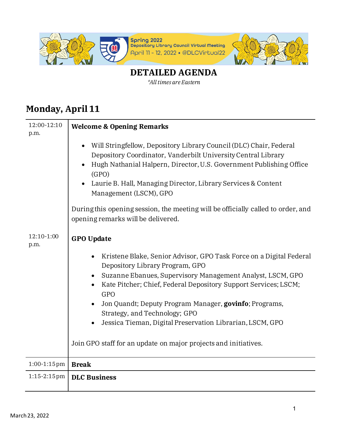

## **DETAILED AGENDA**

*\*All times are Eastern*

## **Monday, April 11**

| 12:00-12:10<br>p.m. | <b>Welcome &amp; Opening Remarks</b>                                                                                                                                                                                                                                                                                                                                                                                |
|---------------------|---------------------------------------------------------------------------------------------------------------------------------------------------------------------------------------------------------------------------------------------------------------------------------------------------------------------------------------------------------------------------------------------------------------------|
|                     | Will Stringfellow, Depository Library Council (DLC) Chair, Federal<br>Depository Coordinator, Vanderbilt University Central Library<br>Hugh Nathanial Halpern, Director, U.S. Government Publishing Office<br>(GPO)<br>Laurie B. Hall, Managing Director, Library Services & Content<br>Management (LSCM), GPO                                                                                                      |
|                     | During this opening session, the meeting will be officially called to order, and<br>opening remarks will be delivered.                                                                                                                                                                                                                                                                                              |
| 12:10-1:00<br>p.m.  | <b>GPO Update</b>                                                                                                                                                                                                                                                                                                                                                                                                   |
|                     | Kristene Blake, Senior Advisor, GPO Task Force on a Digital Federal<br>$\bullet$<br>Depository Library Program, GPO<br>Suzanne Ebanues, Supervisory Management Analyst, LSCM, GPO<br>Kate Pitcher; Chief, Federal Depository Support Services; LSCM;<br>GPO<br>Jon Quandt; Deputy Program Manager, govinfo; Programs,<br>Strategy, and Technology; GPO<br>Jessica Tieman, Digital Preservation Librarian, LSCM, GPO |
|                     | Join GPO staff for an update on major projects and initiatives.                                                                                                                                                                                                                                                                                                                                                     |
| $1:00-1:15$ pm      | <b>Break</b>                                                                                                                                                                                                                                                                                                                                                                                                        |
| $1:15 - 2:15$ pm    | <b>DLC Business</b>                                                                                                                                                                                                                                                                                                                                                                                                 |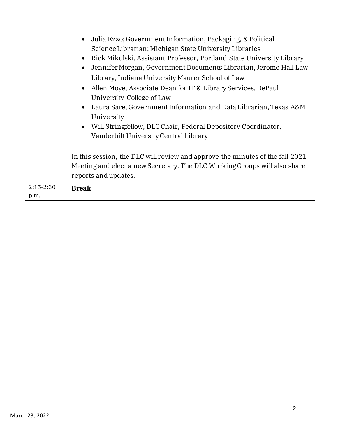|                       | Julia Ezzo; Government Information, Packaging, & Political<br>$\bullet$<br>Science Librarian; Michigan State University Libraries<br>Rick Mikulski, Assistant Professor, Portland State University Library<br>$\bullet$<br>Jennifer Morgan, Government Documents Librarian, Jerome Hall Law<br>$\bullet$<br>Library, Indiana University Maurer School of Law<br>Allen Moye, Associate Dean for IT & Library Services, DePaul<br>$\bullet$<br>University-College of Law<br>Laura Sare, Government Information and Data Librarian, Texas A&M<br>$\bullet$<br>University<br>• Will Stringfellow, DLC Chair, Federal Depository Coordinator,<br>Vanderbilt University Central Library<br>In this session, the DLC will review and approve the minutes of the fall 2021 |
|-----------------------|--------------------------------------------------------------------------------------------------------------------------------------------------------------------------------------------------------------------------------------------------------------------------------------------------------------------------------------------------------------------------------------------------------------------------------------------------------------------------------------------------------------------------------------------------------------------------------------------------------------------------------------------------------------------------------------------------------------------------------------------------------------------|
|                       | Meeting and elect a new Secretary. The DLC Working Groups will also share<br>reports and updates.                                                                                                                                                                                                                                                                                                                                                                                                                                                                                                                                                                                                                                                                  |
| $2:15 - 2:30$<br>p.m. | <b>Break</b>                                                                                                                                                                                                                                                                                                                                                                                                                                                                                                                                                                                                                                                                                                                                                       |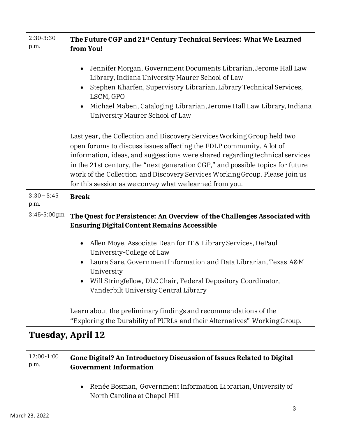| 2:30-3:30<br>p.m.     | The Future CGP and 21 <sup>st</sup> Century Technical Services: What We Learned<br>from You!                                                                                                                                                                                                                                                                                                                                                                |
|-----------------------|-------------------------------------------------------------------------------------------------------------------------------------------------------------------------------------------------------------------------------------------------------------------------------------------------------------------------------------------------------------------------------------------------------------------------------------------------------------|
|                       | Jennifer Morgan, Government Documents Librarian, Jerome Hall Law<br>$\bullet$<br>Library, Indiana University Maurer School of Law<br>Stephen Kharfen, Supervisory Librarian, Library Technical Services,<br>$\bullet$<br>LSCM, GPO<br>Michael Maben, Cataloging Librarian, Jerome Hall Law Library, Indiana<br>$\bullet$<br>University Maurer School of Law                                                                                                 |
|                       | Last year, the Collection and Discovery Services Working Group held two<br>open forums to discuss issues affecting the FDLP community. A lot of<br>information, ideas, and suggestions were shared regarding technical services<br>in the 21st century, the "next generation CGP," and possible topics for future<br>work of the Collection and Discovery Services Working Group. Please join us<br>for this session as we convey what we learned from you. |
| $3:30 - 3:45$<br>p.m. | <b>Break</b>                                                                                                                                                                                                                                                                                                                                                                                                                                                |
| 3:45-5:00pm           | The Quest for Persistence: An Overview of the Challenges Associated with<br><b>Ensuring Digital Content Remains Accessible</b><br>Allen Moye, Associate Dean for IT & Library Services, DePaul<br>$\bullet$<br>University-College of Law<br>Laura Sare, Government Information and Data Librarian, Texas A&M<br>University<br>Will Stringfellow, DLC Chair, Federal Depository Coordinator,<br>Vanderbilt University Central Library                        |
|                       | Learn about the preliminary findings and recommendations of the<br>"Exploring the Durability of PURLs and their Alternatives" Working Group.                                                                                                                                                                                                                                                                                                                |

## **Tuesday, April 12**

| 12:00-1:00 | Gone Digital? An Introductory Discussion of Issues Related to Digital                            |
|------------|--------------------------------------------------------------------------------------------------|
| p.m.       | <b>Government Information</b>                                                                    |
|            | • Renée Bosman, Government Information Librarian, University of<br>North Carolina at Chapel Hill |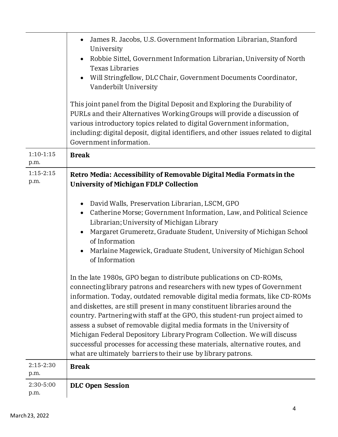|                     | James R. Jacobs, U.S. Government Information Librarian, Stanford<br>University<br>Robbie Sittel, Government Information Librarian, University of North<br><b>Texas Libraries</b><br>Will Stringfellow, DLC Chair, Government Documents Coordinator,<br>Vanderbilt University<br>This joint panel from the Digital Deposit and Exploring the Durability of<br>PURLs and their Alternatives Working Groups will provide a discussion of<br>various introductory topics related to digital Government information,<br>including: digital deposit, digital identifiers, and other issues related to digital                                                                                                                                                                                                                                                                                                                                                                                                                                                                                                                                                                                      |
|---------------------|----------------------------------------------------------------------------------------------------------------------------------------------------------------------------------------------------------------------------------------------------------------------------------------------------------------------------------------------------------------------------------------------------------------------------------------------------------------------------------------------------------------------------------------------------------------------------------------------------------------------------------------------------------------------------------------------------------------------------------------------------------------------------------------------------------------------------------------------------------------------------------------------------------------------------------------------------------------------------------------------------------------------------------------------------------------------------------------------------------------------------------------------------------------------------------------------|
|                     | Government information.                                                                                                                                                                                                                                                                                                                                                                                                                                                                                                                                                                                                                                                                                                                                                                                                                                                                                                                                                                                                                                                                                                                                                                      |
| $1:10-1:15$<br>p.m. | <b>Break</b>                                                                                                                                                                                                                                                                                                                                                                                                                                                                                                                                                                                                                                                                                                                                                                                                                                                                                                                                                                                                                                                                                                                                                                                 |
| $1:15-2:15$<br>p.m. | Retro Media: Accessibility of Removable Digital Media Formats in the<br><b>University of Michigan FDLP Collection</b><br>David Walls, Preservation Librarian, LSCM, GPO<br>Catherine Morse; Government Information, Law, and Political Science<br>$\bullet$<br>Librarian; University of Michigan Library<br>Margaret Grumeretz, Graduate Student, University of Michigan School<br>of Information<br>Marlaine Magewick, Graduate Student, University of Michigan School<br>of Information<br>In the late 1980s, GPO began to distribute publications on CD-ROMs,<br>connecting library patrons and researchers with new types of Government<br>information. Today, outdated removable digital media formats, like CD-ROMs<br>and diskettes, are still present in many constituent libraries around the<br>country. Partnering with staff at the GPO, this student-run project aimed to<br>assess a subset of removable digital media formats in the University of<br>Michigan Federal Depository Library Program Collection. We will discuss<br>successful processes for accessing these materials, alternative routes, and<br>what are ultimately barriers to their use by library patrons. |
| $2:15-2:30$<br>p.m. | <b>Break</b>                                                                                                                                                                                                                                                                                                                                                                                                                                                                                                                                                                                                                                                                                                                                                                                                                                                                                                                                                                                                                                                                                                                                                                                 |
| 2:30-5:00<br>p.m.   | <b>DLC Open Session</b>                                                                                                                                                                                                                                                                                                                                                                                                                                                                                                                                                                                                                                                                                                                                                                                                                                                                                                                                                                                                                                                                                                                                                                      |